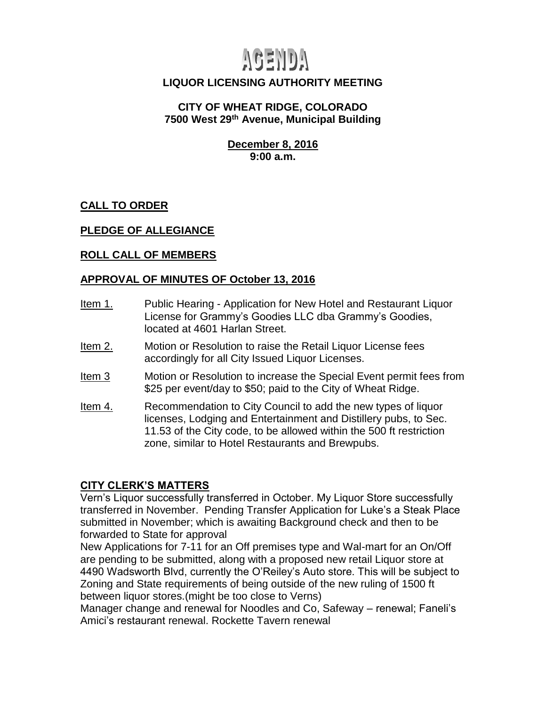# AGENDA

## **LIQUOR LICENSING AUTHORITY MEETING**

#### **CITY OF WHEAT RIDGE, COLORADO 7500 West 29th Avenue, Municipal Building**

**December 8, 2016 9:00 a.m.**

**CALL TO ORDER**

### **PLEDGE OF ALLEGIANCE**

#### **ROLL CALL OF MEMBERS**

#### **APPROVAL OF MINUTES OF October 13, 2016**

- Item 1. Public Hearing Application for New Hotel and Restaurant Liquor License for Grammy's Goodies LLC dba Grammy's Goodies, located at 4601 Harlan Street.
- Item 2. Motion or Resolution to raise the Retail Liquor License fees accordingly for all City Issued Liquor Licenses.
- Item 3 Motion or Resolution to increase the Special Event permit fees from \$25 per event/day to \$50; paid to the City of Wheat Ridge.
- Item 4. Recommendation to City Council to add the new types of liquor licenses, Lodging and Entertainment and Distillery pubs, to Sec. 11.53 of the City code, to be allowed within the 500 ft restriction zone, similar to Hotel Restaurants and Brewpubs.

#### **CITY CLERK'S MATTERS**

Vern's Liquor successfully transferred in October. My Liquor Store successfully transferred in November. Pending Transfer Application for Luke's a Steak Place submitted in November; which is awaiting Background check and then to be forwarded to State for approval

New Applications for 7-11 for an Off premises type and Wal-mart for an On/Off are pending to be submitted, along with a proposed new retail Liquor store at 4490 Wadsworth Blvd, currently the O'Reiley's Auto store. This will be subject to Zoning and State requirements of being outside of the new ruling of 1500 ft between liquor stores.(might be too close to Verns)

Manager change and renewal for Noodles and Co, Safeway – renewal; Faneli's Amici's restaurant renewal. Rockette Tavern renewal